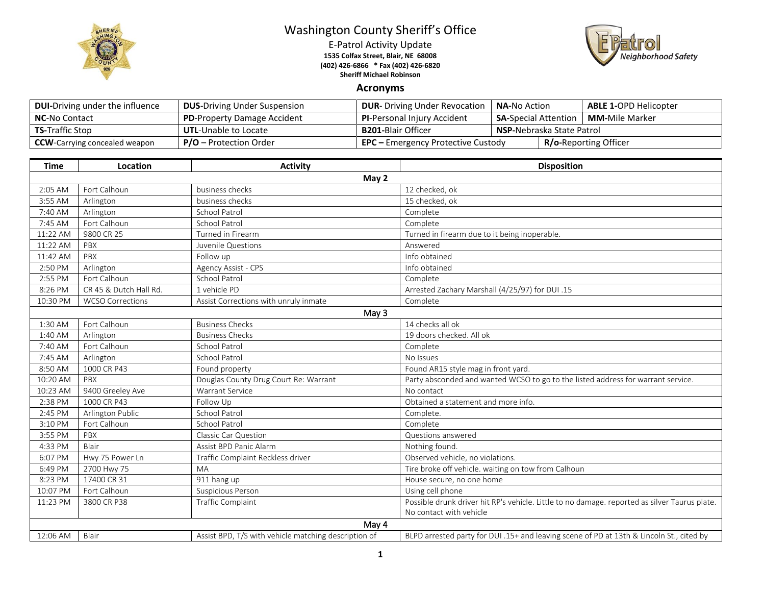

## Washington County Sheriff's Office

E-Patrol Activity Update **1535 Colfax Street, Blair, NE 68008 (402) 426-6866 \* Fax (402) 426-6820 Sheriff Michael Robinson**



## **Acronyms**

| <b>DUI-Driving under the influence</b> | <b>DUS-Driving Under Suspension</b> | <b>DUR-</b> Driving Under Revocation      | <b>NA-No Action</b>                                    |  | <b>ABLE 1-OPD Helicopter</b> |
|----------------------------------------|-------------------------------------|-------------------------------------------|--------------------------------------------------------|--|------------------------------|
| <b>NC-No Contact</b>                   | <b>PD-Property Damage Accident</b>  | <b>PI-Personal Injury Accident</b>        | <b>MM-</b> Mile Marker<br><b>SA-</b> Special Attention |  |                              |
| <b>TS-Traffic Stop</b>                 | <b>UTL-Unable to Locate</b>         | <b>B201-</b> Blair Officer                | <b>NSP-Nebraska State Patrol</b>                       |  |                              |
| <b>CCW</b> -Carrying concealed weapon  | $P/O -$ Protection Order            | <b>EPC</b> – Emergency Protective Custody |                                                        |  | <b>R/o-Reporting Officer</b> |

| <b>Time</b> | Location                | <b>Activity</b>                                      | <b>Disposition</b>                                                                            |  |  |
|-------------|-------------------------|------------------------------------------------------|-----------------------------------------------------------------------------------------------|--|--|
| May 2       |                         |                                                      |                                                                                               |  |  |
| 2:05 AM     | Fort Calhoun            | business checks                                      | 12 checked, ok                                                                                |  |  |
| 3:55 AM     | Arlington               | business checks                                      | 15 checked, ok                                                                                |  |  |
| 7:40 AM     | Arlington               | <b>School Patrol</b>                                 | Complete                                                                                      |  |  |
| 7:45 AM     | Fort Calhoun            | <b>School Patrol</b>                                 | Complete                                                                                      |  |  |
| 11:22 AM    | 9800 CR 25              | Turned in Firearm                                    | Turned in firearm due to it being inoperable.                                                 |  |  |
| 11:22 AM    | PBX                     | Juvenile Questions                                   | Answered                                                                                      |  |  |
| 11:42 AM    | PBX                     | Follow up                                            | Info obtained                                                                                 |  |  |
| 2:50 PM     | Arlington               | Agency Assist - CPS                                  | Info obtained                                                                                 |  |  |
| 2:55 PM     | Fort Calhoun            | <b>School Patrol</b>                                 | Complete                                                                                      |  |  |
| 8:26 PM     | CR 45 & Dutch Hall Rd.  | 1 vehicle PD                                         | Arrested Zachary Marshall (4/25/97) for DUI .15                                               |  |  |
| 10:30 PM    | <b>WCSO Corrections</b> | Assist Corrections with unruly inmate                | Complete                                                                                      |  |  |
| May 3       |                         |                                                      |                                                                                               |  |  |
| 1:30 AM     | Fort Calhoun            | <b>Business Checks</b>                               | 14 checks all ok                                                                              |  |  |
| 1:40 AM     | Arlington               | <b>Business Checks</b>                               | 19 doors checked. All ok                                                                      |  |  |
| 7:40 AM     | Fort Calhoun            | <b>School Patrol</b>                                 | Complete                                                                                      |  |  |
| 7:45 AM     | Arlington               | School Patrol                                        | No Issues                                                                                     |  |  |
| 8:50 AM     | 1000 CR P43             | Found property                                       | Found AR15 style mag in front yard.                                                           |  |  |
| 10:20 AM    | PBX                     | Douglas County Drug Court Re: Warrant                | Party absconded and wanted WCSO to go to the listed address for warrant service.              |  |  |
| 10:23 AM    | 9400 Greeley Ave        | <b>Warrant Service</b>                               | No contact                                                                                    |  |  |
| 2:38 PM     | 1000 CR P43             | Follow Up                                            | Obtained a statement and more info.                                                           |  |  |
| 2:45 PM     | Arlington Public        | <b>School Patrol</b>                                 | Complete.                                                                                     |  |  |
| 3:10 PM     | Fort Calhoun            | <b>School Patrol</b>                                 | Complete                                                                                      |  |  |
| 3:55 PM     | PBX                     | Classic Car Question                                 | Questions answered                                                                            |  |  |
| 4:33 PM     | Blair                   | Assist BPD Panic Alarm                               | Nothing found.                                                                                |  |  |
| 6:07 PM     | Hwy 75 Power Ln         | Traffic Complaint Reckless driver                    | Observed vehicle, no violations.                                                              |  |  |
| 6:49 PM     | 2700 Hwy 75             | MA                                                   | Tire broke off vehicle. waiting on tow from Calhoun                                           |  |  |
| 8:23 PM     | 17400 CR 31             | 911 hang up                                          | House secure, no one home                                                                     |  |  |
| 10:07 PM    | Fort Calhoun            | Suspicious Person                                    | Using cell phone                                                                              |  |  |
| 11:23 PM    | 3800 CR P38             | <b>Traffic Complaint</b>                             | Possible drunk driver hit RP's vehicle. Little to no damage. reported as silver Taurus plate. |  |  |
|             |                         |                                                      | No contact with vehicle                                                                       |  |  |
| May 4       |                         |                                                      |                                                                                               |  |  |
| 12:06 AM    | Blair                   | Assist BPD, T/S with vehicle matching description of | BLPD arrested party for DUI .15+ and leaving scene of PD at 13th & Lincoln St., cited by      |  |  |